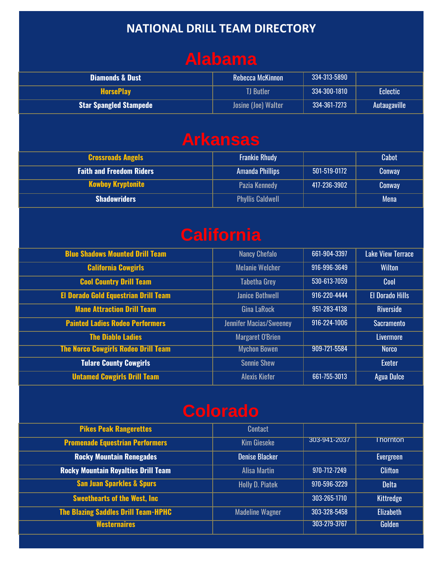#### **NATIONAL DRILL TEAM DIRECTORY**

### **Alabama**

| <b>Diamonds &amp; Dust</b>    | Rebecca McKinnon    | 334-313-5890 |              |
|-------------------------------|---------------------|--------------|--------------|
| <b>HorsePlay</b>              | TJ Butler           | 334-300-1810 | Eclectic     |
| <b>Star Spangled Stampede</b> | Josine (Joe) Walter | 334-361-7273 | Autaugaville |

## **Arkansas**

| <b>Crossroads Angels</b>        | <b>Frankie Rhudy</b>    |              | Cabot       |
|---------------------------------|-------------------------|--------------|-------------|
| <b>Faith and Freedom Riders</b> | <b>Amanda Phillips</b>  | 501-519-0172 | Conway      |
| <b>Kowboy Kryptonite</b>        | Pazia Kennedy           | 417-236-3902 | Conway      |
| <b>Shadowriders</b>             | <b>Phyllis Caldwell</b> |              | <b>Mena</b> |

#### **California**

| <b>Blue Shadows Mounted Drill Team</b>      | <b>Nancy Chefalo</b>           | 661-904-3397 | <b>Lake View Terrace</b> |
|---------------------------------------------|--------------------------------|--------------|--------------------------|
| <b>California Cowgirls</b>                  | <b>Melanie Welcher</b>         | 916-996-3649 | <b>Wilton</b>            |
| <b>Cool Country Drill Team</b>              | <b>Tabetha Grey</b>            | 530-613-7059 | Cool                     |
| <b>El Dorado Gold Equestrian Drill Team</b> | <b>Janice Bothwell</b>         | 916-220-4444 | <b>El Dorado Hills</b>   |
| <b>Mane Attraction Drill Team</b>           | <b>Gina LaRock</b>             | 951-283-4138 | <b>Riverside</b>         |
| <b>Painted Ladies Rodeo Performers</b>      | <b>Jennifer Macias/Sweeney</b> | 916-224-1006 | Sacramento               |
| <b>The Diablo Ladies</b>                    | <b>Margaret O'Brien</b>        |              | Livermore                |
| <b>The Norco Cowgirls Rodeo Drill Team</b>  | <b>Mychon Bowen</b>            | 909-721-5584 | <b>Norco</b>             |
| <b>Tulare County Cowgirls</b>               | <b>Sonnie Shew</b>             |              | <b>Exeter</b>            |
| <b>Untamed Cowgirls Drill Team</b>          | <b>Alexis Kiefer</b>           | 661-755-3013 | <b>Agua Dulce</b>        |
|                                             |                                |              |                          |

# **Colorado**

| <b>Contact</b>         |              |                  |
|------------------------|--------------|------------------|
| <b>Kim Gieseke</b>     | 303-941-2037 | <b>I</b> hornton |
| <b>Denise Blacker</b>  |              | Evergreen        |
| Alisa Martin           | 970-712-7249 | <b>Clifton</b>   |
| <b>Holly D. Piatek</b> | 970-596-3229 | <b>Delta</b>     |
|                        | 303-265-1710 | Kittredge        |
| <b>Madeline Wagner</b> | 303-328-5458 | <b>Elizabeth</b> |
|                        | 303-279-3767 | Golden           |
|                        |              |                  |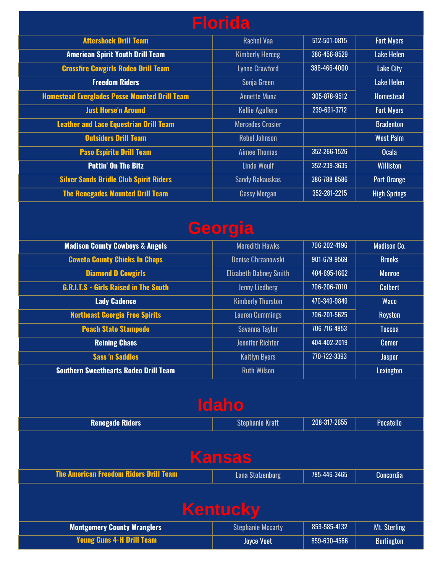| <b>Florida</b>                                       |                         |              |                     |
|------------------------------------------------------|-------------------------|--------------|---------------------|
| <b>Aftershock Drill Team</b>                         | <b>Rachel Vaa</b>       | 512-501-0815 | <b>Fort Myers</b>   |
| <b>American Spirit Youth Drill Team</b>              | <b>Kimberly Herceg</b>  | 386-456-8529 | <b>Lake Helen</b>   |
| <b>Crossfire Cowgirls Rodeo Drill Team</b>           | <b>Lynne Crawford</b>   | 386-466-4000 | <b>Lake City</b>    |
| <b>Freedom Riders</b>                                | Sonja Green             |              | Lake Helen          |
| <b>Homestead Everglades Posse Mounted Drill Team</b> | <b>Annette Munz</b>     | 305-878-9512 | <b>Homestead</b>    |
| <b>Just Horse'n Around</b>                           | <b>Kellie Agullera</b>  | 239-691-3772 | <b>Fort Myers</b>   |
| <b>Leather and Lace Equestrian Drill Team</b>        | <b>Mercedes Crosier</b> |              | <b>Bradenton</b>    |
| <b>Outsiders Drill Team</b>                          | <b>Rebel Johnson</b>    |              | <b>West Palm</b>    |
| <b>Paso Espiritu Drill Team</b>                      | <b>Aimee Thomas</b>     | 352-266-1526 | <b>Ocala</b>        |
| <b>Puttin' On The Bitz</b>                           | Linda Woulf             | 352-239-3635 | <b>Williston</b>    |
| <b>Silver Sands Bridle Club Spirit Riders</b>        | <b>Sandy Rakauskas</b>  | 386-788-8586 | Port Orange         |
| <b>The Renegades Mounted Drill Team</b>              | <b>Cassy Morgan</b>     | 352-281-2215 | <b>High Springs</b> |

# **Georgia**

| <b>Madison County Cowboys &amp; Angels</b>   | <b>Meredith Hawks</b>         | 706-202-4196 | <b>Madison Co.</b> |
|----------------------------------------------|-------------------------------|--------------|--------------------|
| <b>Coweta County Chicks In Chaps</b>         | <b>Denise Chrzanowski</b>     | 901-679-9569 | <b>Brooks</b>      |
| <b>Diamond D Cowgirls</b>                    | <b>Elizabeth Dabney Smith</b> | 404-695-1662 | <b>Monroe</b>      |
| <b>G.R.I.T.S - Girls Raised in The South</b> | <b>Jenny Liedberg</b>         | 706-206-7010 | <b>Colbert</b>     |
| <b>Lady Cadence</b>                          | <b>Kimberly Thurston</b>      | 470-349-9849 | <b>Waco</b>        |
| <b>Northeast Georgia Free Spirits</b>        | <b>Lauren Cummings</b>        | 706-201-5625 | Royston            |
| <b>Peach State Stampede</b>                  | Savanna Taylor                | 706-716-4853 | <b>Toccoa</b>      |
| <b>Reining Chaos</b>                         | <b>Jennifer Richter</b>       | 404-402-2019 | <b>Comer</b>       |
| <b>Sass 'n Saddles</b>                       | <b>Kaitlyn Byers</b>          | 770-722-3393 | <b>Jasper</b>      |
| <b>Southern Sweethearts Rodeo Drill Team</b> | <b>Ruth Wilson</b>            |              | Lexington          |

| <b>Idaho</b>                                  |                          |              |                   |  |
|-----------------------------------------------|--------------------------|--------------|-------------------|--|
| <b>Renegade Riders</b>                        | <b>Stephanie Kraft</b>   | 208-317-2655 | Pocatello         |  |
| <b>Kansas</b>                                 |                          |              |                   |  |
| <b>The American Freedom Riders Drill Team</b> | <b>Lana Stolzenburg</b>  | 785-446-3465 | Concordia         |  |
| <b>Kentucky</b>                               |                          |              |                   |  |
| <b>Montgomery County Wranglers</b>            | <b>Stephanie Mccarty</b> | 859-585-4132 | Mt. Sterling      |  |
| <b>Young Guns 4-H Drill Team</b>              | <b>Joyce Voet</b>        | 859-630-4566 | <b>Burlington</b> |  |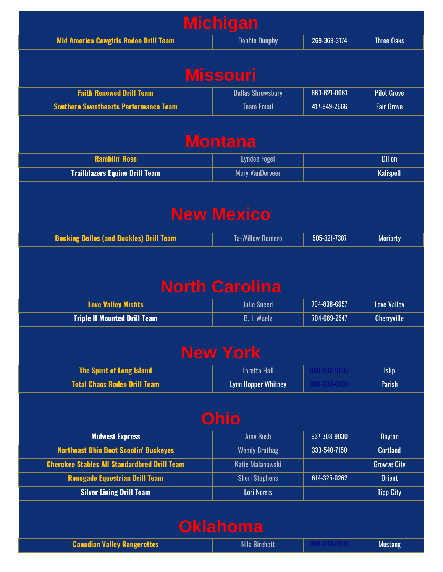| <b>Mid America Cowgirls Rodeo Drill Team</b>                                                 | <b>Debbie Dunphy</b>                            | 269-369-3174                 | <b>Three Oaks</b>                                                                                                                                                 |
|----------------------------------------------------------------------------------------------|-------------------------------------------------|------------------------------|-------------------------------------------------------------------------------------------------------------------------------------------------------------------|
|                                                                                              |                                                 |                              |                                                                                                                                                                   |
|                                                                                              | <b>Missouri</b>                                 |                              |                                                                                                                                                                   |
| <b>Faith Renewed Drill Team</b>                                                              | <b>Dallas Shrewsbury</b>                        | 660-621-0061                 | <b>Pilot Grove</b>                                                                                                                                                |
| <b>Southern Sweethearts Performance Team</b>                                                 | <b>Team Email</b>                               | 417-849-2666                 | <b>Fair Grove</b>                                                                                                                                                 |
|                                                                                              | <b>Montana</b>                                  |                              |                                                                                                                                                                   |
| <b>Ramblin' Rose</b>                                                                         | <b>Lyndee Fogel</b>                             |                              | <b>Dillon</b>                                                                                                                                                     |
| <b>Trailblazers Equine Drill Team</b>                                                        | <b>Mary VanDerveer</b>                          |                              | <b>Kalispell</b>                                                                                                                                                  |
|                                                                                              |                                                 |                              |                                                                                                                                                                   |
|                                                                                              | <b>New Mexico</b>                               |                              |                                                                                                                                                                   |
|                                                                                              |                                                 |                              |                                                                                                                                                                   |
| <b>Bucking Belles (and Buckles) Drill Team</b>                                               | <b>Ta-Willow Romero</b>                         | 505-321-7387                 | <b>Moriarty</b>                                                                                                                                                   |
|                                                                                              |                                                 |                              |                                                                                                                                                                   |
|                                                                                              |                                                 |                              |                                                                                                                                                                   |
|                                                                                              |                                                 |                              |                                                                                                                                                                   |
|                                                                                              |                                                 |                              |                                                                                                                                                                   |
|                                                                                              |                                                 |                              |                                                                                                                                                                   |
|                                                                                              | <b>North Carolina</b>                           |                              |                                                                                                                                                                   |
| <b>Love Valley Misfits</b>                                                                   | <b>Julie Sneed</b>                              | 704-838-6957                 |                                                                                                                                                                   |
| <b>Triple H Mounted Drill Team</b>                                                           | <b>B. J. Waelz</b>                              | 704-689-2547                 |                                                                                                                                                                   |
|                                                                                              |                                                 |                              |                                                                                                                                                                   |
|                                                                                              |                                                 |                              |                                                                                                                                                                   |
|                                                                                              | <b>New York</b>                                 |                              |                                                                                                                                                                   |
| <b>The Spirit of Long Island</b>                                                             | <b>Loretta Hall</b>                             | 000-000-0000                 |                                                                                                                                                                   |
| <b>Total Chaos Rodeo Drill Team</b>                                                          | <b>Lynn Hopper Whitney</b>                      | $000 - 000 - 0000$           |                                                                                                                                                                   |
|                                                                                              |                                                 |                              |                                                                                                                                                                   |
|                                                                                              |                                                 |                              |                                                                                                                                                                   |
|                                                                                              | <b>Ohio</b>                                     |                              |                                                                                                                                                                   |
| <b>Midwest Express</b>                                                                       | <b>Amy Bush</b>                                 | 937-308-9030<br>330-540-7150 |                                                                                                                                                                   |
| <b>Northeast Ohio Boot Scootin' Buckeyes</b>                                                 | <b>Wendy Brothag</b><br><b>Katie Malanowski</b> |                              |                                                                                                                                                                   |
| <b>Cherokee Stables All Standardbred Drill Team</b><br><b>Renegade Equestrian Drill Team</b> | <b>Sheri Stephens</b>                           | 614-325-0262                 |                                                                                                                                                                   |
| <b>Silver Lining Drill Team</b>                                                              | <b>Lori Norris</b>                              |                              |                                                                                                                                                                   |
|                                                                                              |                                                 |                              |                                                                                                                                                                   |
|                                                                                              |                                                 |                              | <b>Love Valley</b><br><b>Cherryville</b><br><b>Islip</b><br>Parish<br><b>Dayton</b><br><b>Cortland</b><br><b>Growve City</b><br><b>Orient</b><br><b>Tipp City</b> |
|                                                                                              | <b>Oklahoma</b>                                 |                              |                                                                                                                                                                   |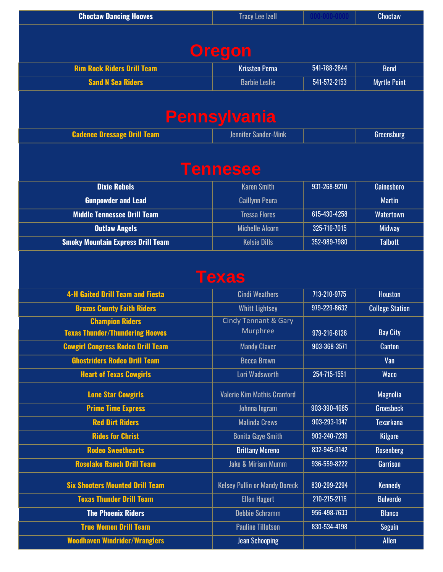| <b>Choctaw Dancing Hooves</b>            | <b>Tracy Lee Izell</b>                      | 000-000-000  | <b>Choctaw</b>         |  |  |
|------------------------------------------|---------------------------------------------|--------------|------------------------|--|--|
|                                          |                                             |              |                        |  |  |
| <b>Oregon</b>                            |                                             |              |                        |  |  |
|                                          |                                             |              |                        |  |  |
| <b>Rim Rock Riders Drill Team</b>        | <b>Krissten Perna</b>                       | 541-788-2844 | <b>Bend</b>            |  |  |
| <b>Sand N Sea Riders</b>                 | <b>Barbie Leslie</b>                        | 541-572-2153 | <b>Myrtle Point</b>    |  |  |
|                                          |                                             |              |                        |  |  |
|                                          | Pennsylvania                                |              |                        |  |  |
| <b>Cadence Dressage Drill Team</b>       | <b>Jennifer Sander-Mink</b>                 |              | Greensburg             |  |  |
|                                          |                                             |              |                        |  |  |
|                                          |                                             |              |                        |  |  |
|                                          | <b>Tennesee</b>                             |              |                        |  |  |
| <b>Dixie Rebels</b>                      | <b>Karen Smith</b>                          | 931-268-9210 | Gainesboro             |  |  |
| <b>Gunpowder and Lead</b>                | <b>Caillynn Peura</b>                       |              | <b>Martin</b>          |  |  |
| <b>Middle Tennessee Drill Team</b>       | <b>Tressa Flores</b>                        | 615-430-4258 | <b>Watertown</b>       |  |  |
| <b>Outlaw Angels</b>                     | <b>Michelle Alcorn</b>                      | 325-716-7015 | <b>Midway</b>          |  |  |
| <b>Smoky Mountain Express Drill Team</b> | <b>Kelsie Dills</b>                         | 352-989-7980 | <b>Talbott</b>         |  |  |
|                                          |                                             |              |                        |  |  |
|                                          | Texas                                       |              |                        |  |  |
|                                          |                                             |              |                        |  |  |
| <b>4-H Gaited Drill Team and Fiesta</b>  | <b>Cindi Weathers</b>                       | 713-210-9775 | <b>Houston</b>         |  |  |
| <b>Brazos County Faith Riders</b>        | <b>Whitt Lightsey</b>                       | 979-229-8632 | <b>College Station</b> |  |  |
| <b>Champion Riders</b>                   | <b>Cindy Tennant &amp; Gary</b><br>Murphree |              |                        |  |  |
| <b>Texas Thunder/Thundering Hooves</b>   |                                             | 979-216-6126 | <b>Bay City</b>        |  |  |
| <b>Cowgirl Congress Rodeo Drill Team</b> | <b>Mandy Claver</b>                         | 903-368-3571 | <b>Canton</b>          |  |  |
| <b>Ghostriders Rodeo Drill Team</b>      | <b>Becca Brown</b>                          |              | Van                    |  |  |
| <b>Heart of Texas Cowgirls</b>           | Lori Wadsworth                              | 254-715-1551 | <b>Waco</b>            |  |  |
| <b>Lone Star Cowgirls</b>                | <b>Valerie Kim Mathis Cranford</b>          |              | Magnolia               |  |  |
| <b>Prime Time Express</b>                | Johnna Ingram                               | 903-390-4685 | <b>Groesbeck</b>       |  |  |
| <b>Red Dirt Riders</b>                   | <b>Malinda Crews</b>                        | 903-293-1347 | <b>Texarkana</b>       |  |  |
| <b>Rides for Christ</b>                  | <b>Bonita Gaye Smith</b>                    | 903-240-7239 | <b>Kilgore</b>         |  |  |
| <b>Rodeo Sweethearts</b>                 | <b>Brittany Moreno</b>                      | 832-945-0142 | <b>Rosenberg</b>       |  |  |
| <b>Roselake Ranch Drill Team</b>         | <b>Jake &amp; Miriam Mumm</b>               | 936-559-8222 | Garrison               |  |  |
| <b>Six Shooters Mounted Drill Team</b>   | <b>Kelsey Pullin or Mandy Doreck</b>        | 830-299-2294 | <b>Kennedy</b>         |  |  |
| <b>Texas Thunder Drill Team</b>          | <b>Ellen Hagert</b>                         | 210-215-2116 | <b>Bulverde</b>        |  |  |
| <b>The Phoenix Riders</b>                | <b>Debbie Schramm</b>                       | 956-498-7633 | <b>Blanco</b>          |  |  |
| <b>True Women Drill Team</b>             | <b>Pauline Tillotson</b>                    | 830-534-4198 | <b>Seguin</b>          |  |  |
|                                          |                                             |              | Allen                  |  |  |
| <b>Woodhaven Windrider/Wranglers</b>     | <b>Jean Schooping</b>                       |              |                        |  |  |